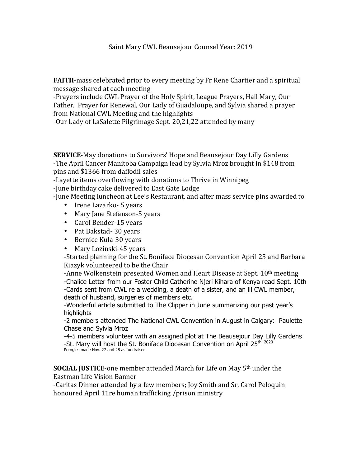Saint Mary CWL Beausejour Counsel Year: 2019

**FAITH**-mass celebrated prior to every meeting by Fr Rene Chartier and a spiritual message shared at each meeting

-Prayers include CWL Prayer of the Holy Spirit, League Prayers, Hail Mary, Our Father, Prayer for Renewal, Our Lady of Guadaloupe, and Sylvia shared a prayer from National CWL Meeting and the highlights

-Our Lady of LaSalette Pilgrimage Sept. 20,21,22 attended by many

**SERVICE-May donations to Survivors' Hope and Beausejour Day Lilly Gardens** -The April Cancer Manitoba Campaign lead by Sylvia Mroz brought in \$148 from pins and \$1366 from daffodil sales

-Layette items overflowing with donations to Thrive in Winnipeg

-June birthday cake delivered to East Gate Lodge

-June Meeting luncheon at Lee's Restaurant, and after mass service pins awarded to

- Irene Lazarko- 5 years
- Mary Jane Stefanson-5 years
- Carol Bender-15 years
- Pat Bakstad- 30 years
- Bernice Kula-30 years
- Mary Lozinski-45 years

-Started planning for the St. Boniface Diocesan Convention April 25 and Barbara Kiazyk volunteered to be the Chair

-Anne Wolkenstein presented Women and Heart Disease at Sept.  $10<sup>th</sup>$  meeting -Chalice Letter from our Foster Child Catherine Njeri Kihara of Kenya read Sept. 10th -Cards sent from CWL re a wedding, a death of a sister, and an ill CWL member, death of husband, surgeries of members etc.

-Wonderful article submitted to The Clipper in June summarizing our past year's highlights

-2 members attended The National CWL Convention in August in Calgary: Paulette Chase and Sylvia Mroz

-4-5 members volunteer with an assigned plot at The Beausejour Day Lilly Gardens -St. Mary will host the St. Boniface Diocesan Convention on April 25<sup>th, 2020</sup> Perogies made Nov. 27 and 28 as fundraiser

**SOCIAL JUSTICE**-one member attended March for Life on May 5<sup>th</sup> under the Eastman Life Vision Banner

-Caritas Dinner attended by a few members; Joy Smith and Sr. Carol Peloquin honoured April 11re human trafficking /prison ministry